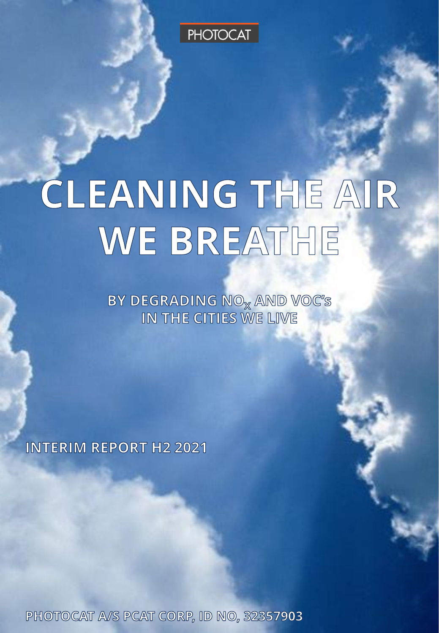

# CLEANING THE AIR WE BREATHE

**BY DEGRADING NO AND VOC'S**<br>IN THE CITIES WE LIVE

**INTERIM REPORT H2 2021** 

PHOTOCAT A/S PCAT CORP, ID NO, 32357903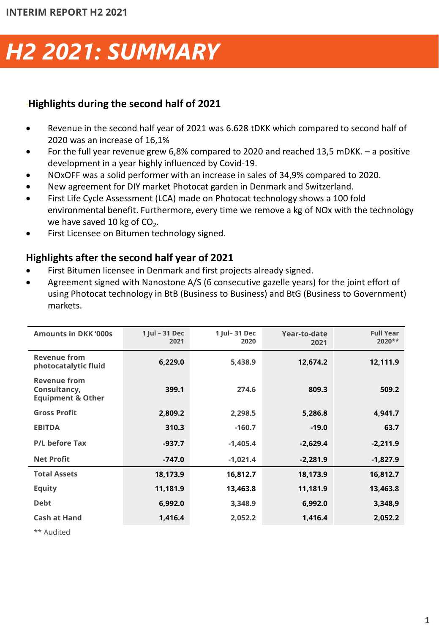### *H2 2021: SUMMARY*

### ·**Highlights during the second half of 2021**

- Revenue in the second half year of 2021 was 6.628 tDKK which compared to second half of 2020 was an increase of 16,1%
- For the full year revenue grew 6,8% compared to 2020 and reached 13,5 mDKK. a positive development in a year highly influenced by Covid-19.
- NOxOFF was a solid performer with an increase in sales of 34,9% compared to 2020.
- New agreement for DIY market Photocat garden in Denmark and Switzerland.
- First Life Cycle Assessment (LCA) made on Photocat technology shows a 100 fold environmental benefit. Furthermore, every time we remove a kg of NOx with the technology we have saved 10 kg of  $CO_2$ .
- First Licensee on Bitumen technology signed.

### **Highlights after the second half year of 2021**

- First Bitumen licensee in Denmark and first projects already signed.
- … using Photocat technology in BtB (Business to Business) and BtG (Business to Government) • Agreement signed with Nanostone A/S (6 consecutive gazelle years) for the joint effort of markets.

| <b>Amounts in DKK '000s</b>                                         | 1 Jul - 31 Dec<br>2021 | 1 Jul- 31 Dec<br>2020 | Year-to-date<br>2021 | <b>Full Year</b><br>$2020**$ |
|---------------------------------------------------------------------|------------------------|-----------------------|----------------------|------------------------------|
| <b>Revenue from</b><br>photocatalytic fluid                         | 6,229.0                | 5,438.9               | 12,674.2             | 12,111.9                     |
| <b>Revenue from</b><br>Consultancy,<br><b>Equipment &amp; Other</b> | 399.1                  | 274.6                 | 809.3                | 509.2                        |
| <b>Gross Profit</b>                                                 | 2,809.2                | 2,298.5               | 5,286.8              | 4,941.7                      |
| <b>EBITDA</b>                                                       | 310.3                  | $-160.7$              | $-19.0$              | 63.7                         |
| <b>P/L before Tax</b>                                               | $-937.7$               | $-1,405.4$            | $-2,629.4$           | $-2,211.9$                   |
| <b>Net Profit</b>                                                   | $-747.0$               | $-1,021.4$            | $-2,281.9$           | $-1,827.9$                   |
| <b>Total Assets</b>                                                 | 18,173.9               | 16,812.7              | 18,173.9             | 16,812.7                     |
| <b>Equity</b>                                                       | 11,181.9               | 13,463.8              | 11,181.9             | 13,463.8                     |
| <b>Debt</b>                                                         | 6,992.0                | 3,348.9               | 6,992.0              | 3,348,9                      |
| <b>Cash at Hand</b>                                                 | 1,416.4                | 2,052.2               | 1,416.4              | 2,052.2                      |

\*\* Audited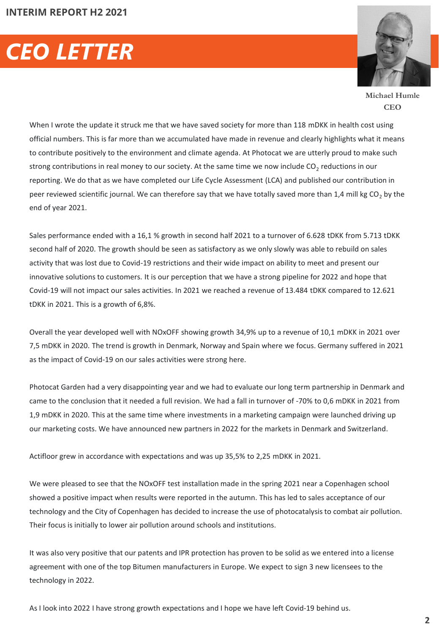# *CEO LETTER*



**Michael Humle**   $CEO$ 

When I wrote the update it struck me that we have saved society for more than 118 mDKK in health cost using official numbers. This is far more than we accumulated have made in revenue and clearly highlights what it means to contribute positively to the environment and climate agenda. At Photocat we are utterly proud to make such strong contributions in real money to our society. At the same time we now include CO<sub>2</sub> reductions in our reporting. We do that as we have completed our Life Cycle Assessment (LCA) and published our contribution in peer reviewed scientific journal. We can therefore say that we have totally saved more than 1,4 mill kg CO<sub>2</sub> by the end of year 2021.

Sales performance ended with a 16,1 % growth in second half 2021 to a turnover of 6.628 tDKK from 5.713 tDKK second half of 2020. The growth should be seen as satisfactory as we only slowly was able to rebuild on sales activity that was lost due to Covid-19 restrictions and their wide impact on ability to meet and present our innovative solutions to customers. It is our perception that we have a strong pipeline for 2022 and hope that Covid-19 will not impact our sales activities. In 2021 we reached a revenue of 13.484 tDKK compared to 12.621 tDKK in 2021. This is a growth of 6,8%.

Overall the year developed well with NOxOFF showing growth 34,9% up to a revenue of 10,1 mDKK in 2021 over 7,5 mDKK in 2020. The trend is growth in Denmark, Norway and Spain where we focus. Germany suffered in 2021 as the impact of Covid-19 on our sales activities were strong here.

Photocat Garden had a very disappointing year and we had to evaluate our long term partnership in Denmark and came to the conclusion that it needed a full revision. We had a fall in turnover of -70% to 0,6 mDKK in 2021 from 1,9 mDKK in 2020. This at the same time where investments in a marketing campaign were launched driving up our marketing costs. We have announced new partners in 2022 for the markets in Denmark and Switzerland.

Actifloor grew in accordance with expectations and was up 35,5% to 2,25 mDKK in 2021.

We were pleased to see that the NOxOFF test installation made in the spring 2021 near a Copenhagen school showed a positive impact when results were reported in the autumn. This has led to sales acceptance of our technology and the City of Copenhagen has decided to increase the use of photocatalysis to combat air pollution. Their focus is initially to lower air pollution around schools and institutions.

It was also very positive that our patents and IPR protection has proven to be solid as we entered into a license agreement with one of the top Bitumen manufacturers in Europe. We expect to sign 3 new licensees to the technology in 2022.

As I look into 2022 I have strong growth expectations and I hope we have left Covid-19 behind us.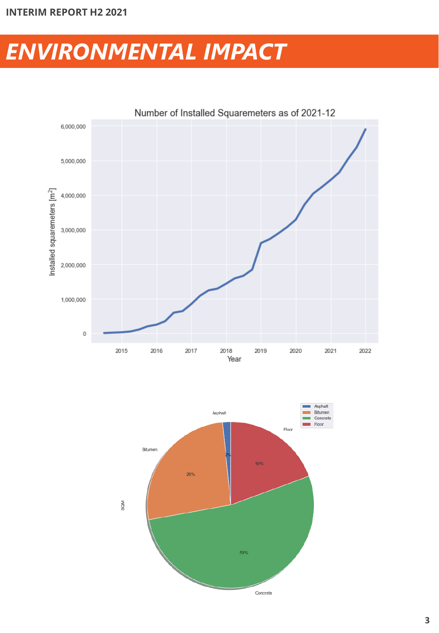#### **INTERIM REPORT H2 2021**

### *ENVIRONMENTAL IMPACT*





**3 3**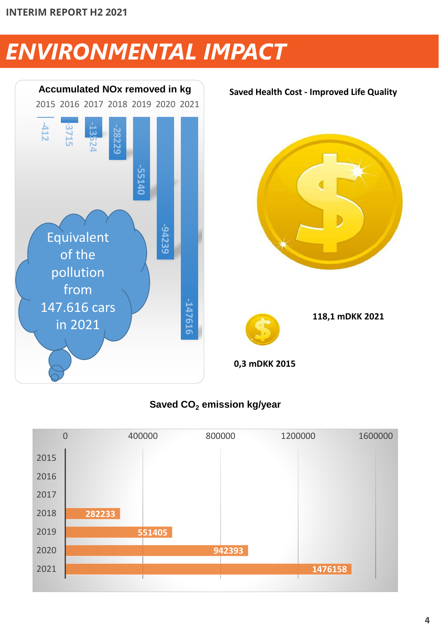#### **INTERIM REPORT H2 2021**

### *ENVIRONMENTAL IMPACT*



### **Saved CO<sup>2</sup> emission kg/year**

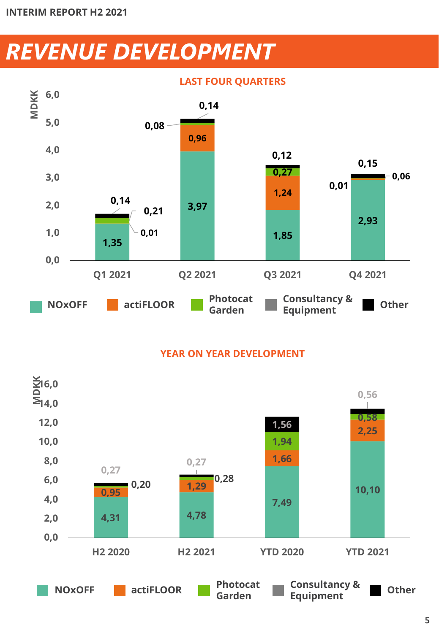### *REVENUE DEVELOPMENT*

#### **LAST FOUR QUARTERS**



### **YEAR ON YEAR DEVELOPMENT**

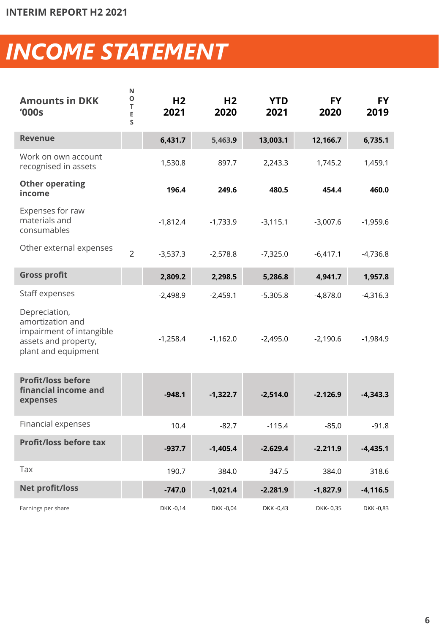### *INCOME STATEMENT*

| <b>Amounts in DKK</b><br>'000s                                                                               | N<br>O<br>T<br>E<br>S | H <sub>2</sub><br>2021 | H <sub>2</sub><br>2020 | <b>YTD</b><br>2021 | <b>FY</b><br>2020 | <b>FY</b><br>2019 |
|--------------------------------------------------------------------------------------------------------------|-----------------------|------------------------|------------------------|--------------------|-------------------|-------------------|
| <b>Revenue</b>                                                                                               |                       | 6,431.7                | 5,463.9                | 13,003.1           | 12,166.7          | 6,735.1           |
| Work on own account<br>recognised in assets                                                                  |                       | 1,530.8                | 897.7                  | 2,243.3            | 1,745.2           | 1,459.1           |
| <b>Other operating</b><br>income                                                                             |                       | 196.4                  | 249.6                  | 480.5              | 454.4             | 460.0             |
| Expenses for raw<br>materials and<br>consumables                                                             |                       | $-1,812.4$             | $-1,733.9$             | $-3,115.1$         | $-3,007.6$        | $-1,959.6$        |
| Other external expenses                                                                                      | $\overline{2}$        | $-3,537.3$             | $-2,578.8$             | $-7,325.0$         | $-6,417.1$        | $-4,736.8$        |
| <b>Gross profit</b>                                                                                          |                       | 2,809.2                | 2,298.5                | 5,286.8            | 4,941.7           | 1,957.8           |
| Staff expenses                                                                                               |                       | $-2,498.9$             | $-2,459.1$             | $-5.305.8$         | $-4,878.0$        | $-4,316.3$        |
| Depreciation,<br>amortization and<br>impairment of intangible<br>assets and property,<br>plant and equipment |                       | $-1,258.4$             | $-1,162.0$             | $-2,495.0$         | $-2,190.6$        | $-1,984.9$        |
| <b>Profit/loss before</b><br>financial income and<br>expenses                                                |                       | $-948.1$               | $-1,322.7$             | $-2,514.0$         | $-2.126.9$        | $-4,343.3$        |
| Financial expenses                                                                                           |                       | 10.4                   | $-82.7$                | $-115.4$           | $-85,0$           | $-91.8$           |
| <b>Profit/loss before tax</b>                                                                                |                       | $-937.7$               | $-1,405.4$             | $-2.629.4$         | $-2.211.9$        | $-4,435.1$        |
| Tax                                                                                                          |                       | 190.7                  | 384.0                  | 347.5              | 384.0             | 318.6             |
| <b>Net profit/loss</b>                                                                                       |                       | $-747.0$               | $-1,021.4$             | $-2.281.9$         | $-1,827.9$        | $-4,116.5$        |
| Earnings per share                                                                                           |                       | DKK-0,14               | DKK-0,04               | DKK-0,43           | DKK-0,35          | DKK-0,83          |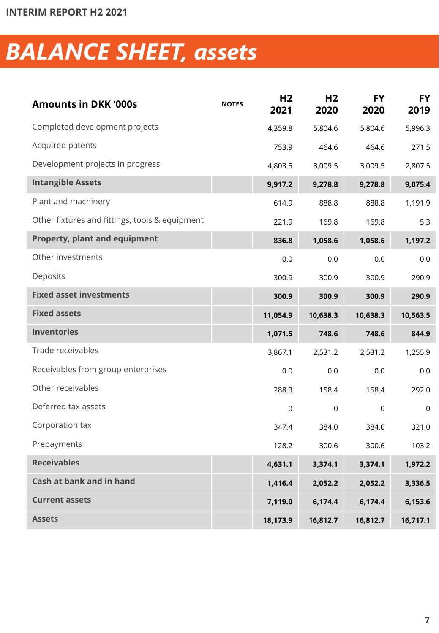# *BALANCE SHEET, assets*

| <b>Amounts in DKK '000s</b>                    | <b>NOTES</b> | H <sub>2</sub><br>2021 | H <sub>2</sub><br>2020 | <b>FY</b><br>2020 | <b>FY</b><br>2019 |
|------------------------------------------------|--------------|------------------------|------------------------|-------------------|-------------------|
| Completed development projects                 |              | 4,359.8                | 5,804.6                | 5,804.6           | 5,996.3           |
| Acquired patents                               |              | 753.9                  | 464.6                  | 464.6             | 271.5             |
| Development projects in progress               |              | 4,803.5                | 3,009.5                | 3,009.5           | 2,807.5           |
| <b>Intangible Assets</b>                       |              | 9,917.2                | 9,278.8                | 9,278.8           | 9,075.4           |
| Plant and machinery                            |              | 614.9                  | 888.8                  | 888.8             | 1,191.9           |
| Other fixtures and fittings, tools & equipment |              | 221.9                  | 169.8                  | 169.8             | 5.3               |
| <b>Property, plant and equipment</b>           |              | 836.8                  | 1,058.6                | 1,058.6           | 1,197.2           |
| Other investments                              |              | 0.0                    | 0.0                    | 0.0               | 0.0               |
| Deposits                                       |              | 300.9                  | 300.9                  | 300.9             | 290.9             |
| <b>Fixed asset investments</b>                 |              | 300.9                  | 300.9                  | 300.9             | 290.9             |
| <b>Fixed assets</b>                            |              | 11,054.9               | 10,638.3               | 10,638.3          | 10,563.5          |
| <b>Inventories</b>                             |              | 1,071.5                | 748.6                  | 748.6             | 844.9             |
| Trade receivables                              |              | 3,867.1                | 2,531.2                | 2,531.2           | 1,255.9           |
| Receivables from group enterprises             |              | 0.0                    | 0.0                    | 0.0               | 0.0               |
| Other receivables                              |              | 288.3                  | 158.4                  | 158.4             | 292.0             |
| Deferred tax assets                            |              | $\mathbf 0$            | $\mathbf 0$            | $\mathbf 0$       | $\mathbf 0$       |
| Corporation tax                                |              | 347.4                  | 384.0                  | 384.0             | 321.0             |
| Prepayments                                    |              | 128.2                  | 300.6                  | 300.6             | 103.2             |
| <b>Receivables</b>                             |              | 4,631.1                | 3,374.1                | 3,374.1           | 1,972.2           |
| Cash at bank and in hand                       |              | 1,416.4                | 2,052.2                | 2,052.2           | 3,336.5           |
| <b>Current assets</b>                          |              | 7,119.0                | 6,174.4                | 6,174.4           | 6,153.6           |
| <b>Assets</b>                                  |              | 18,173.9               | 16,812.7               | 16,812.7          | 16,717.1          |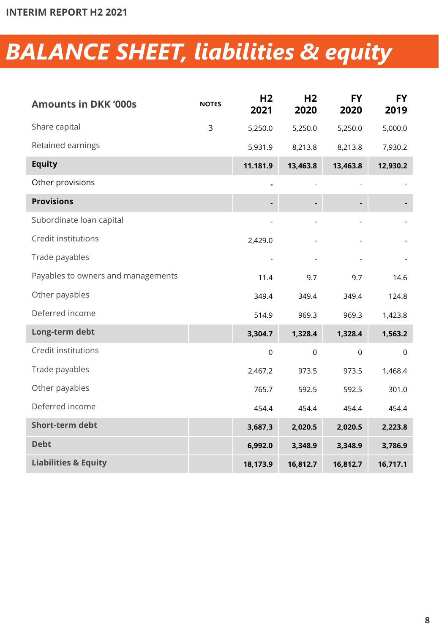# *BALANCE SHEET, liabilities & equity*

| <b>Amounts in DKK '000s</b>        | <b>NOTES</b> | H <sub>2</sub><br>2021 | H <sub>2</sub><br>2020 | <b>FY</b><br>2020 | <b>FY</b><br>2019 |
|------------------------------------|--------------|------------------------|------------------------|-------------------|-------------------|
| Share capital                      | 3            | 5,250.0                | 5,250.0                | 5,250.0           | 5,000.0           |
| Retained earnings                  |              | 5,931.9                | 8,213.8                | 8,213.8           | 7,930.2           |
| <b>Equity</b>                      |              | 11.181.9               | 13,463.8               | 13,463.8          | 12,930.2          |
| Other provisions                   |              |                        |                        |                   |                   |
| <b>Provisions</b>                  |              |                        |                        |                   |                   |
| Subordinate loan capital           |              |                        |                        |                   |                   |
| Credit institutions                |              | 2,429.0                |                        |                   |                   |
| Trade payables                     |              |                        |                        |                   |                   |
| Payables to owners and managements |              | 11.4                   | 9.7                    | 9.7               | 14.6              |
| Other payables                     |              | 349.4                  | 349.4                  | 349.4             | 124.8             |
| Deferred income                    |              | 514.9                  | 969.3                  | 969.3             | 1,423.8           |
| Long-term debt                     |              | 3,304.7                | 1,328.4                | 1,328.4           | 1,563.2           |
| Credit institutions                |              | 0                      | $\mathbf 0$            | $\mathbf 0$       | $\mathbf 0$       |
| Trade payables                     |              | 2,467.2                | 973.5                  | 973.5             | 1,468.4           |
| Other payables                     |              | 765.7                  | 592.5                  | 592.5             | 301.0             |
| Deferred income                    |              | 454.4                  | 454.4                  | 454.4             | 454.4             |
| Short-term debt                    |              | 3,687,3                | 2,020.5                | 2,020.5           | 2,223.8           |
| <b>Debt</b>                        |              | 6,992.0                | 3,348.9                | 3,348.9           | 3,786.9           |
| <b>Liabilities &amp; Equity</b>    |              | 18,173.9               | 16,812.7               | 16,812.7          | 16,717.1          |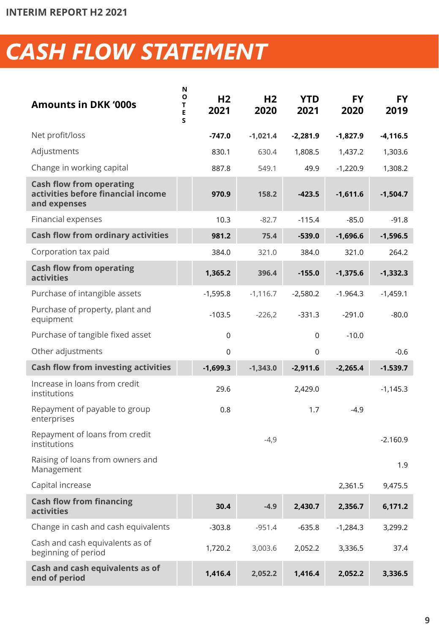# *CASH FLOW STATEMENT*

| <b>Amounts in DKK '000s</b>                                                           | N<br>O<br>т<br>E<br>S | H <sub>2</sub><br>2021 | H <sub>2</sub><br>2020 | <b>YTD</b><br>2021 | <b>FY</b><br>2020 | <b>FY</b><br>2019 |
|---------------------------------------------------------------------------------------|-----------------------|------------------------|------------------------|--------------------|-------------------|-------------------|
| Net profit/loss                                                                       |                       | $-747.0$               | $-1,021.4$             | $-2,281.9$         | $-1,827.9$        | $-4,116.5$        |
| Adjustments                                                                           |                       | 830.1                  | 630.4                  | 1,808.5            | 1,437.2           | 1,303.6           |
| Change in working capital                                                             |                       | 887.8                  | 549.1                  | 49.9               | $-1,220.9$        | 1,308.2           |
| <b>Cash flow from operating</b><br>activities before financial income<br>and expenses |                       | 970.9                  | 158.2                  | $-423.5$           | $-1,611.6$        | $-1,504.7$        |
| Financial expenses                                                                    |                       | 10.3                   | $-82.7$                | $-115.4$           | $-85.0$           | $-91.8$           |
| <b>Cash flow from ordinary activities</b>                                             |                       | 981.2                  | 75.4                   | $-539.0$           | $-1,696.6$        | $-1,596.5$        |
| Corporation tax paid                                                                  |                       | 384.0                  | 321.0                  | 384.0              | 321.0             | 264.2             |
| <b>Cash flow from operating</b><br>activities                                         |                       | 1,365.2                | 396.4                  | $-155.0$           | $-1,375.6$        | $-1,332.3$        |
| Purchase of intangible assets                                                         |                       | $-1,595.8$             | $-1,116.7$             | $-2,580.2$         | $-1.964.3$        | $-1,459.1$        |
| Purchase of property, plant and<br>equipment                                          |                       | $-103.5$               | $-226,2$               | $-331.3$           | $-291.0$          | $-80.0$           |
| Purchase of tangible fixed asset                                                      |                       | 0                      |                        | 0                  | $-10.0$           |                   |
| Other adjustments                                                                     |                       | 0                      |                        | 0                  |                   | $-0.6$            |
| <b>Cash flow from investing activities</b>                                            |                       | $-1,699.3$             | $-1,343.0$             | $-2,911.6$         | $-2,265.4$        | $-1.539.7$        |
| Increase in loans from credit<br>institutions                                         |                       | 29.6                   |                        | 2,429.0            |                   | $-1,145.3$        |
| Repayment of payable to group<br>enterprises                                          |                       | 0.8                    |                        | 1.7                | $-4.9$            |                   |
| Repayment of loans from credit<br>institutions                                        |                       |                        | $-4,9$                 |                    |                   | $-2.160.9$        |
| Raising of loans from owners and<br>Management                                        |                       |                        |                        |                    |                   | 1.9               |
| Capital increase                                                                      |                       |                        |                        |                    | 2,361.5           | 9,475.5           |
| <b>Cash flow from financing</b><br><b>activities</b>                                  |                       | 30.4                   | $-4.9$                 | 2,430.7            | 2,356.7           | 6,171.2           |
| Change in cash and cash equivalents                                                   |                       | $-303.8$               | $-951.4$               | $-635.8$           | $-1,284.3$        | 3,299.2           |
| Cash and cash equivalents as of<br>beginning of period                                |                       | 1,720.2                | 3,003.6                | 2,052.2            | 3,336.5           | 37.4              |
| Cash and cash equivalents as of<br>end of period                                      |                       | 1,416.4                | 2,052.2                | 1,416.4            | 2,052.2           | 3,336.5           |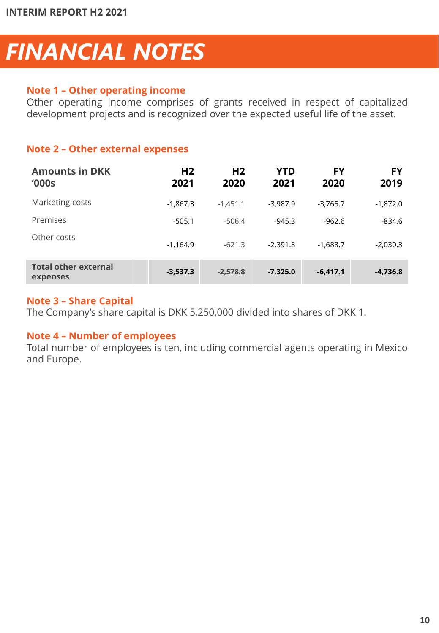### *FINANCIAL NOTES*

### **Note 1 – Other operating income**

**Note 1 – Other operating income**<br>Other operating income comprises of grants received in respect of capitalized development projects and is recognized over the expected useful life of the asset.

### **Note 2 – Other external expenses**

| <b>Amounts in DKK</b><br>'000s          | H <sub>2</sub><br>2021 | H <sub>2</sub><br>2020 | <b>YTD</b><br>2021 | FY<br>2020 | FY<br>2019 |
|-----------------------------------------|------------------------|------------------------|--------------------|------------|------------|
| Marketing costs                         | $-1,867.3$             | $-1.451.1$             | $-3.987.9$         | $-3,765.7$ | $-1,872.0$ |
| Premises                                | $-505.1$               | $-506.4$               | $-945.3$           | $-962.6$   | $-834.6$   |
| Other costs                             | $-1.164.9$             | $-621.3$               | $-2.391.8$         | $-1,688.7$ | $-2,030.3$ |
| <b>Total other external</b><br>expenses | $-3,537.3$             | $-2,578.8$             | $-7,325.0$         | $-6,417.1$ | $-4,736.8$ |

### **Note 3 – Share Capital**

The Company's share capital is DKK 5,250,000 divided into shares of DKK 1.

### **Note 4 – Number of employees**

Total number of employees is ten, including commercial agents operating in Mexico and Europe.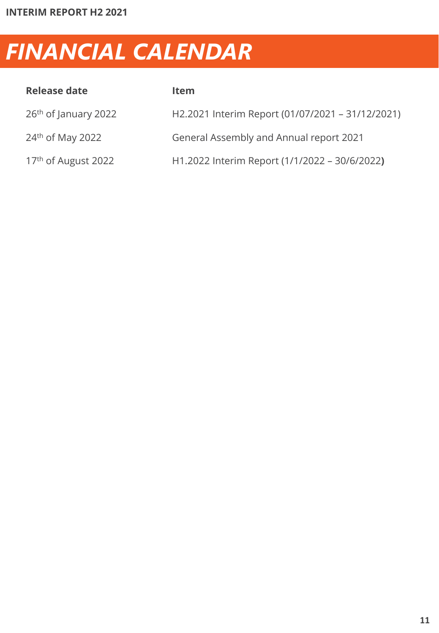# *FINANCIAL CALENDAR*

| <b>Release date</b>              | <b>Item</b>                                      |
|----------------------------------|--------------------------------------------------|
| 26 <sup>th</sup> of January 2022 | H2.2021 Interim Report (01/07/2021 - 31/12/2021) |
| $24th$ of May 2022               | General Assembly and Annual report 2021          |
| 17 <sup>th</sup> of August 2022  | H1.2022 Interim Report (1/1/2022 - 30/6/2022)    |